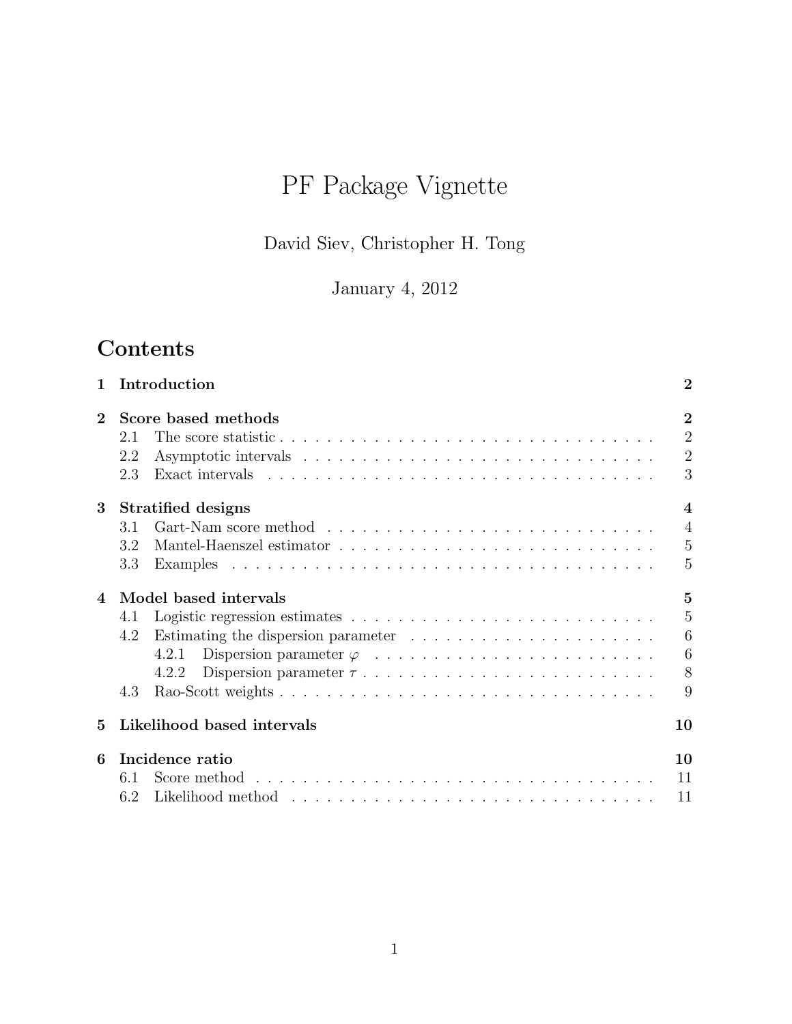# PF Package Vignette

David Siev, Christopher H. Tong

January 4, 2012

## Contents

| 1        | Introduction                                                                                              | $\overline{2}$           |
|----------|-----------------------------------------------------------------------------------------------------------|--------------------------|
| $\bf{2}$ | Score based methods                                                                                       | $\overline{2}$           |
|          | 2.1                                                                                                       | $\overline{2}$           |
|          | 2.2                                                                                                       | $\overline{2}$           |
|          | 2.3                                                                                                       | 3                        |
| 3        | Stratified designs                                                                                        | $\overline{\mathcal{A}}$ |
|          | 3.1                                                                                                       | $\overline{4}$           |
|          | 3.2                                                                                                       | $\overline{5}$           |
|          | 3.3                                                                                                       | 5                        |
| 4        | Model based intervals                                                                                     | $\overline{5}$           |
|          | 4.1                                                                                                       | 5                        |
|          | 4.2                                                                                                       | 6                        |
|          | 4.2.1                                                                                                     | 6                        |
|          | 4.2.2                                                                                                     | 8                        |
|          | 4.3                                                                                                       | 9                        |
| 5        | Likelihood based intervals                                                                                | 10                       |
| 6        | Incidence ratio                                                                                           | 10                       |
|          | Score method $\ldots \ldots \ldots \ldots \ldots \ldots \ldots \ldots \ldots \ldots \ldots \ldots$<br>6.1 | 11                       |
|          | 6.2                                                                                                       | 11                       |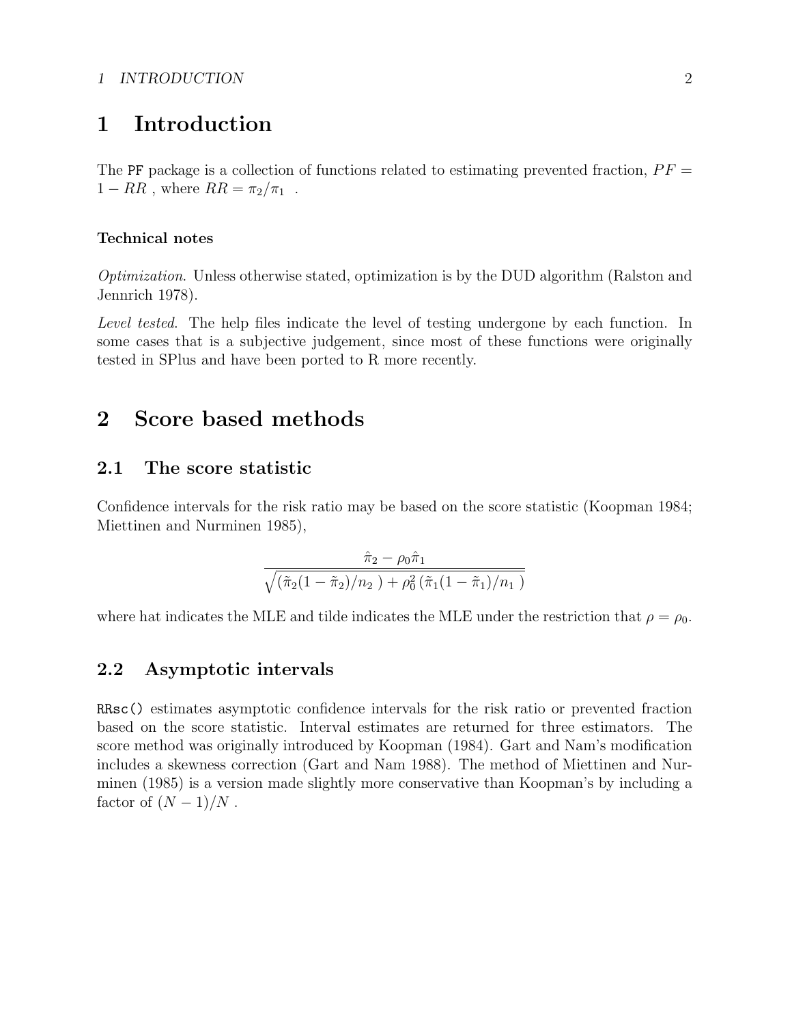#### 1 INTRODUCTION 2

### 1 Introduction

The PF package is a collection of functions related to estimating prevented fraction,  $PF =$  $1 - RR$ , where  $RR = \pi_2/\pi_1$ .

#### Technical notes

Optimization. Unless otherwise stated, optimization is by the DUD algorithm (Ralston and Jennrich 1978).

Level tested. The help files indicate the level of testing undergone by each function. In some cases that is a subjective judgement, since most of these functions were originally tested in SPlus and have been ported to R more recently.

### 2 Score based methods

#### 2.1 The score statistic

Confidence intervals for the risk ratio may be based on the score statistic (Koopman 1984; Miettinen and Nurminen 1985),

$$
\frac{\hat{\pi}_2 - \rho_0 \hat{\pi}_1}{\sqrt{(\tilde{\pi}_2(1 - \tilde{\pi}_2)/n_2) + \rho_0^2 (\tilde{\pi}_1(1 - \tilde{\pi}_1)/n_1)}}
$$

where hat indicates the MLE and tilde indicates the MLE under the restriction that  $\rho = \rho_0$ .

### 2.2 Asymptotic intervals

RRsc() estimates asymptotic confidence intervals for the risk ratio or prevented fraction based on the score statistic. Interval estimates are returned for three estimators. The score method was originally introduced by Koopman (1984). Gart and Nam's modification includes a skewness correction (Gart and Nam 1988). The method of Miettinen and Nurminen (1985) is a version made slightly more conservative than Koopman's by including a factor of  $(N-1)/N$ .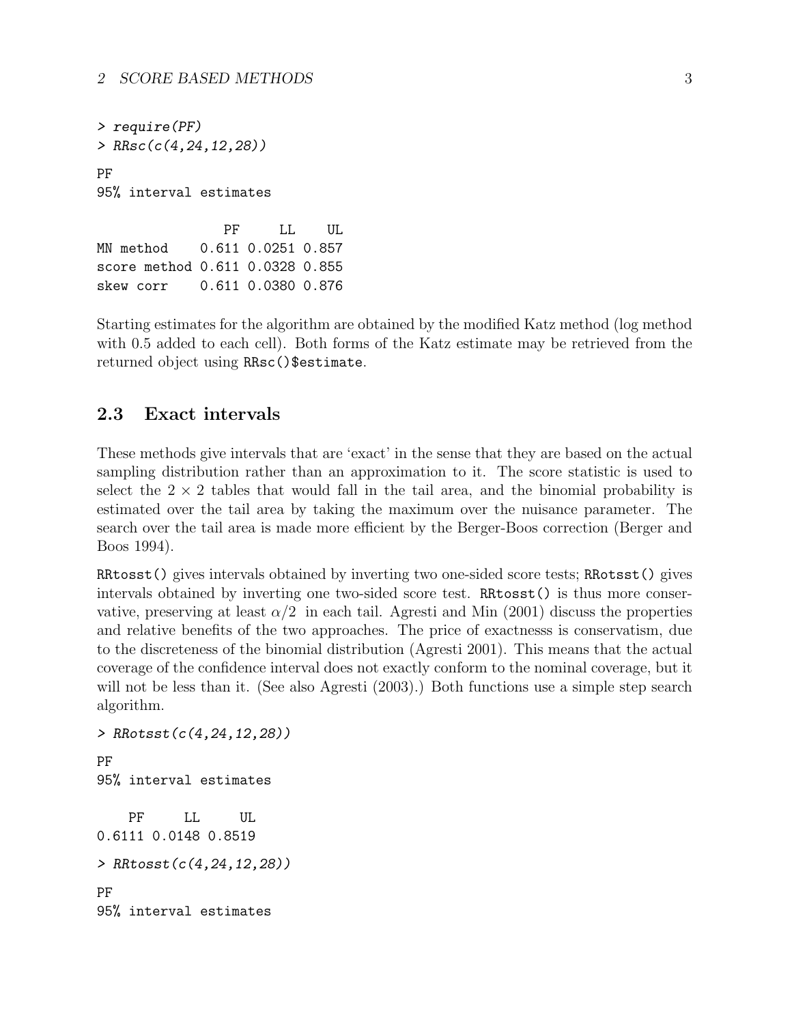> require(PF) > RRsc(c(4,24,12,28)) PF 95% interval estimates PF LL UL

MN method 0.611 0.0251 0.857 score method 0.611 0.0328 0.855 skew corr 0.611 0.0380 0.876

Starting estimates for the algorithm are obtained by the modified Katz method (log method with 0.5 added to each cell). Both forms of the Katz estimate may be retrieved from the returned object using RRsc()\$estimate.

### 2.3 Exact intervals

These methods give intervals that are 'exact' in the sense that they are based on the actual sampling distribution rather than an approximation to it. The score statistic is used to select the  $2 \times 2$  tables that would fall in the tail area, and the binomial probability is estimated over the tail area by taking the maximum over the nuisance parameter. The search over the tail area is made more efficient by the Berger-Boos correction (Berger and Boos 1994).

RRtosst() gives intervals obtained by inverting two one-sided score tests; RRotsst() gives intervals obtained by inverting one two-sided score test. RRtosst() is thus more conservative, preserving at least  $\alpha/2$  in each tail. Agresti and Min (2001) discuss the properties and relative benefits of the two approaches. The price of exactnesss is conservatism, due to the discreteness of the binomial distribution (Agresti 2001). This means that the actual coverage of the confidence interval does not exactly conform to the nominal coverage, but it will not be less than it. (See also Agresti (2003).) Both functions use a simple step search algorithm.

```
> RRotsst(c(4,24,12,28))
PF
95% interval estimates
   PF LL UL
0.6111 0.0148 0.8519
> RRtosst(c(4,24,12,28))
PF
95% interval estimates
```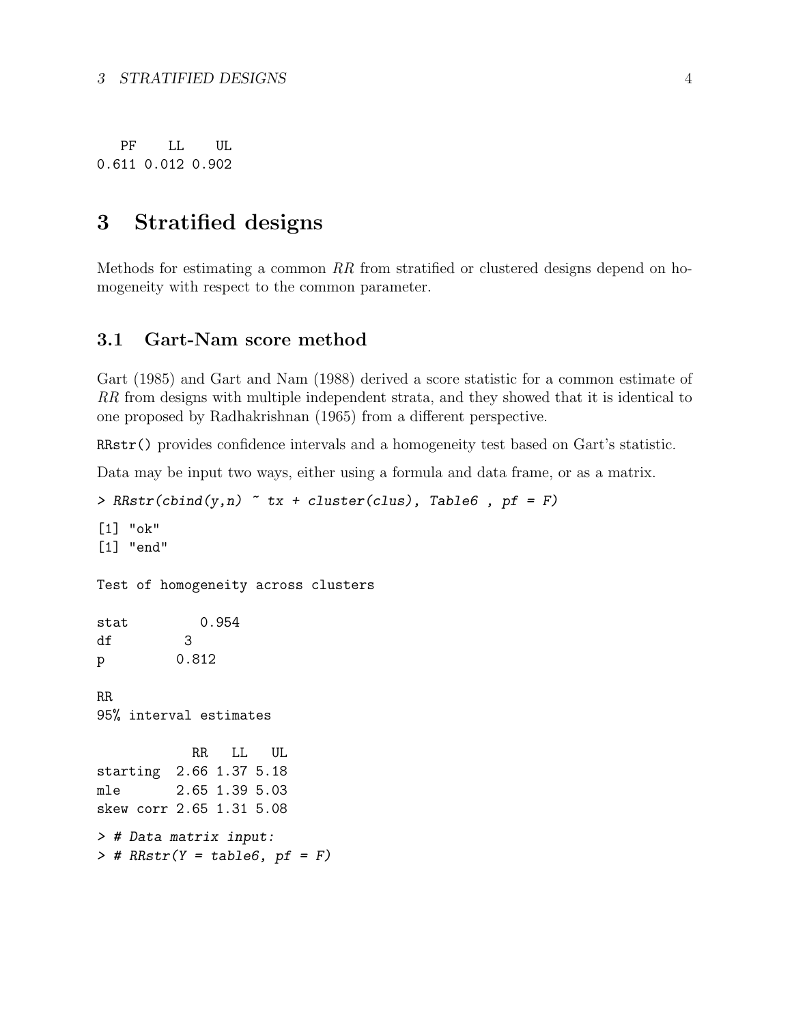PF LL UL 0.611 0.012 0.902

### 3 Stratified designs

Methods for estimating a common RR from stratified or clustered designs depend on homogeneity with respect to the common parameter.

### 3.1 Gart-Nam score method

Gart (1985) and Gart and Nam (1988) derived a score statistic for a common estimate of RR from designs with multiple independent strata, and they showed that it is identical to one proposed by Radhakrishnan (1965) from a different perspective.

RRstr() provides confidence intervals and a homogeneity test based on Gart's statistic.

Data may be input two ways, either using a formula and data frame, or as a matrix.

```
> RRstr(cbind(y,n) \tilde{ } tx + cluster(clus), Table6, pf = F)
[1] "ok"
[1] "end"
Test of homogeneity across clusters
stat 0.954
df 3
p 0.812
RR
95% interval estimates
           RR LL UL
starting 2.66 1.37 5.18
mle 2.65 1.39 5.03
skew corr 2.65 1.31 5.08
> # Data matrix input:
> # RRstr(Y = table6, pf = F)
```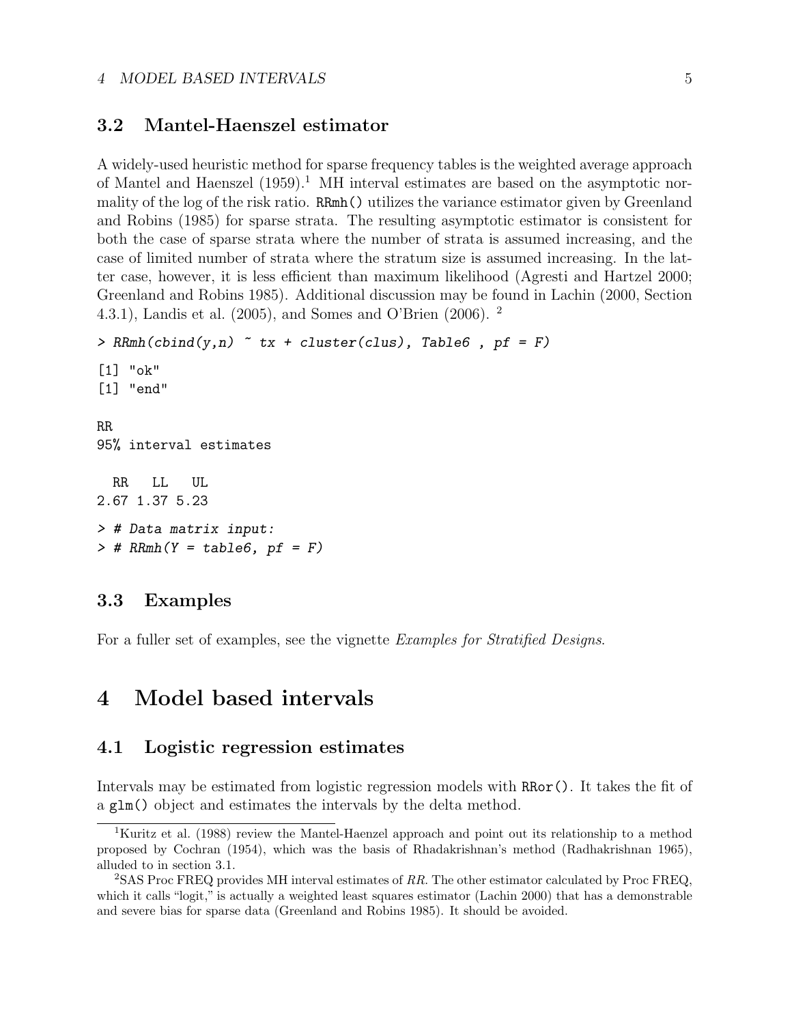#### 3.2 Mantel-Haenszel estimator

A widely-used heuristic method for sparse frequency tables is the weighted average approach of Mantel and Haenszel  $(1959)^{1}$  MH interval estimates are based on the asymptotic normality of the log of the risk ratio. RRmh() utilizes the variance estimator given by Greenland and Robins (1985) for sparse strata. The resulting asymptotic estimator is consistent for both the case of sparse strata where the number of strata is assumed increasing, and the case of limited number of strata where the stratum size is assumed increasing. In the latter case, however, it is less efficient than maximum likelihood (Agresti and Hartzel 2000; Greenland and Robins 1985). Additional discussion may be found in Lachin (2000, Section 4.3.1), Landis et al. (2005), and Somes and O'Brien (2006). <sup>2</sup>

```
> RRmh(cbind(y, n) "tx + cluster(clust), Table 6, pf = F)[1] "ok"
[1] "end"
RR
95% interval estimates
  RR LL UL
2.67 1.37 5.23
> # Data matrix input:
> # RRmh(Y = table6, pf = F)
```
### 3.3 Examples

For a fuller set of examples, see the vignette Examples for Stratified Designs.

### 4 Model based intervals

### 4.1 Logistic regression estimates

Intervals may be estimated from logistic regression models with RRor(). It takes the fit of a glm() object and estimates the intervals by the delta method.

<sup>&</sup>lt;sup>1</sup>Kuritz et al. (1988) review the Mantel-Haenzel approach and point out its relationship to a method proposed by Cochran (1954), which was the basis of Rhadakrishnan's method (Radhakrishnan 1965), alluded to in section 3.1.

<sup>2</sup>SAS Proc FREQ provides MH interval estimates of RR. The other estimator calculated by Proc FREQ, which it calls "logit," is actually a weighted least squares estimator (Lachin 2000) that has a demonstrable and severe bias for sparse data (Greenland and Robins 1985). It should be avoided.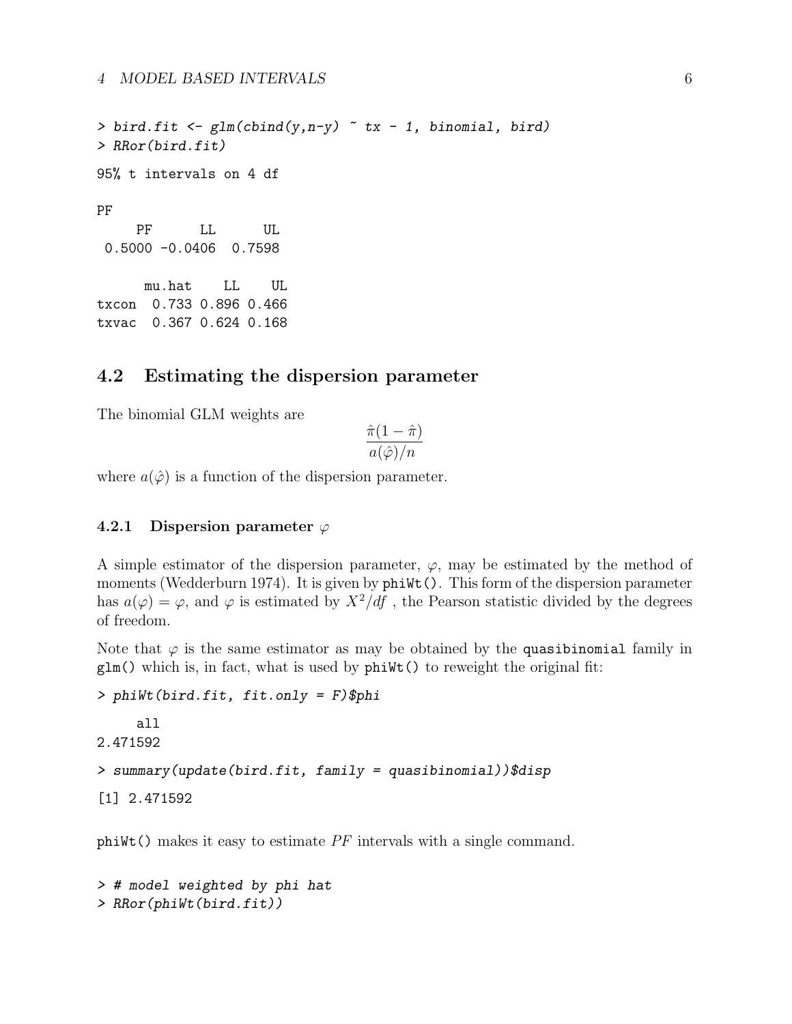4 MODEL BASED INTERVALS 6

> bird.fit <-  $glm(cbind(y, n-y)$   $\tilde{r}$  tx - 1, binomial, bird) > RRor(bird.fit) 95% t intervals on 4 df PF PF LL UL 0.5000 -0.0406 0.7598 mu.hat LL UL txcon 0.733 0.896 0.466 txvac 0.367 0.624 0.168

### 4.2 Estimating the dispersion parameter

The binomial GLM weights are

$$
\frac{\hat{\pi}(1-\hat{\pi})}{a(\hat{\varphi})/n}
$$

where  $a(\hat{\varphi})$  is a function of the dispersion parameter.

#### 4.2.1 Dispersion parameter  $\varphi$

A simple estimator of the dispersion parameter,  $\varphi$ , may be estimated by the method of moments (Wedderburn 1974). It is given by  $\text{phi}(t)$ . This form of the dispersion parameter has  $a(\varphi) = \varphi$ , and  $\varphi$  is estimated by  $X^2/df$ , the Pearson statistic divided by the degrees of freedom.

Note that  $\varphi$  is the same estimator as may be obtained by the quasibinomial family in  $glm()$  which is, in fact, what is used by  $phiWt()$  to reweight the original fit:

```
> phiWt(bird.fit, fit.only = F)$phi
     all
2.471592
> summary(update(bird.fit, family = quasibinomial))$disp
[1] 2.471592
```
phiWt() makes it easy to estimate PF intervals with a single command.

```
> # model weighted by phi hat
> RRor(phiWt(bird.fit))
```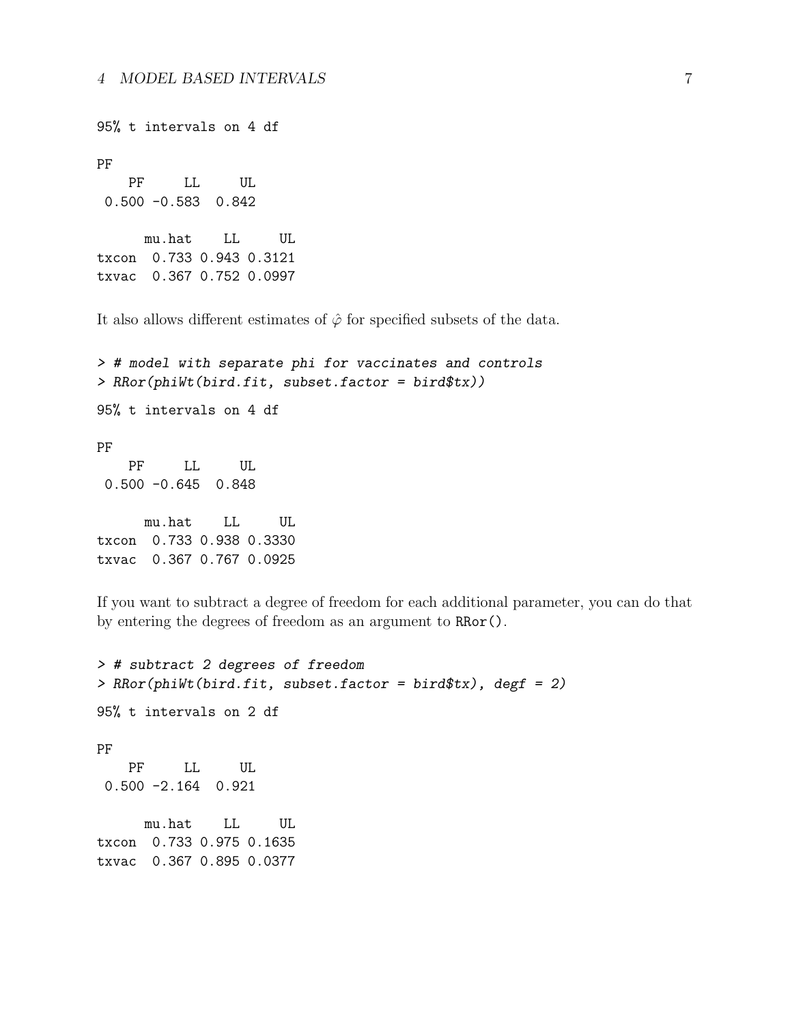95% t intervals on 4 df PF PF LL UL 0.500 -0.583 0.842 mu.hat LL UL txcon 0.733 0.943 0.3121 txvac 0.367 0.752 0.0997

It also allows different estimates of  $\hat{\varphi}$  for specified subsets of the data.

> # model with separate phi for vaccinates and controls > RRor(phiWt(bird.fit, subset.factor = bird\$tx)) 95% t intervals on 4 df PF PF LL UL 0.500 -0.645 0.848 mu.hat LL UL txcon 0.733 0.938 0.3330 txvac 0.367 0.767 0.0925

If you want to subtract a degree of freedom for each additional parameter, you can do that by entering the degrees of freedom as an argument to RRor().

> # subtract 2 degrees of freedom > RRor(phiWt(bird.fit, subset.factor = bird\$tx), degf = 2) 95% t intervals on 2 df PF PF LL UL 0.500 -2.164 0.921 mu.hat LL UL txcon 0.733 0.975 0.1635 txvac 0.367 0.895 0.0377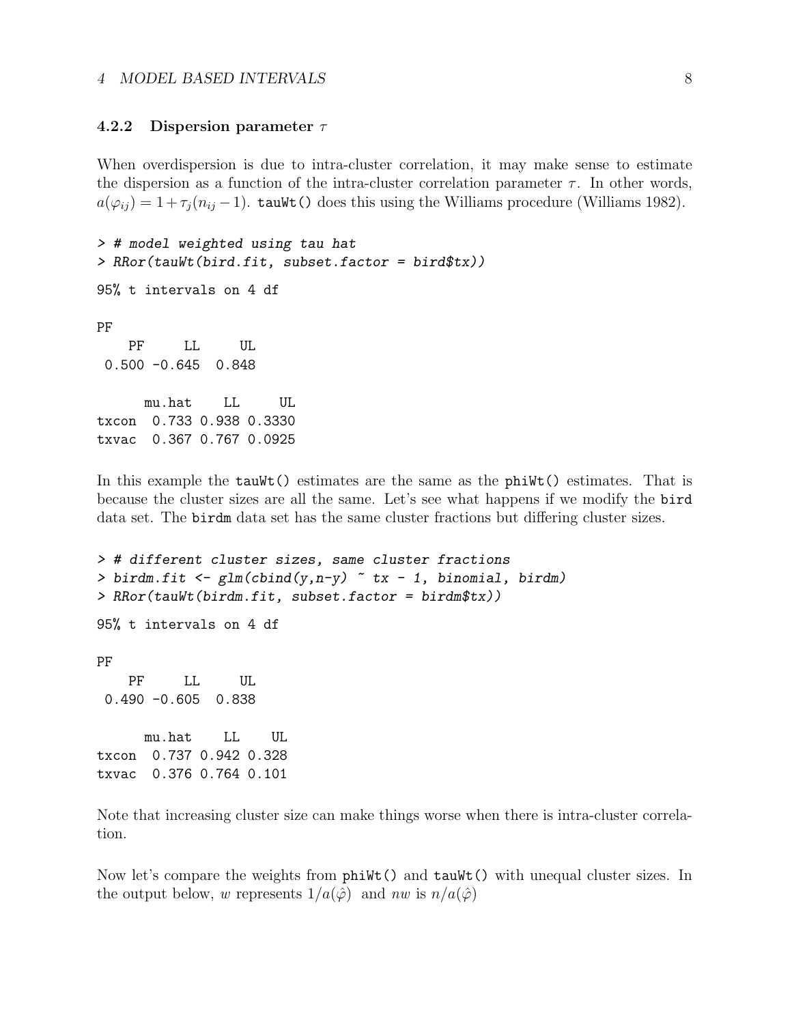#### 4.2.2 Dispersion parameter  $\tau$

When overdispersion is due to intra-cluster correlation, it may make sense to estimate the dispersion as a function of the intra-cluster correlation parameter  $\tau$ . In other words,  $a(\varphi_{ij}) = 1 + \tau_j (n_{ij} - 1)$ . tauWt() does this using the Williams procedure (Williams 1982).

```
> # model weighted using tau hat
> RRor(tauWt(bird.fit, subset.factor = bird$tx))
95% t intervals on 4 df
PF
   PF LL UL
0.500 -0.645 0.848
     mu.hat LL UL
txcon 0.733 0.938 0.3330
txvac 0.367 0.767 0.0925
```
In this example the tauWt() estimates are the same as the phiWt() estimates. That is because the cluster sizes are all the same. Let's see what happens if we modify the bird data set. The birdm data set has the same cluster fractions but differing cluster sizes.

```
> # different cluster sizes, same cluster fractions
> birdm.fit <- glm(cbind(y, n-y) \sim tx - 1, binomial, birdm)
> RRor(tauWt(birdm.fit, subset.factor = birdm$tx))
95% t intervals on 4 df
PF
   PF LL UL
0.490 -0.605 0.838
     mu.hat LL UL
txcon 0.737 0.942 0.328
txvac 0.376 0.764 0.101
```
Note that increasing cluster size can make things worse when there is intra-cluster correlation.

Now let's compare the weights from  $\text{phi}(t)$  and  $\text{tauWt}(t)$  with unequal cluster sizes. In the output below, w represents  $1/a(\hat{\varphi})$  and nw is  $n/a(\hat{\varphi})$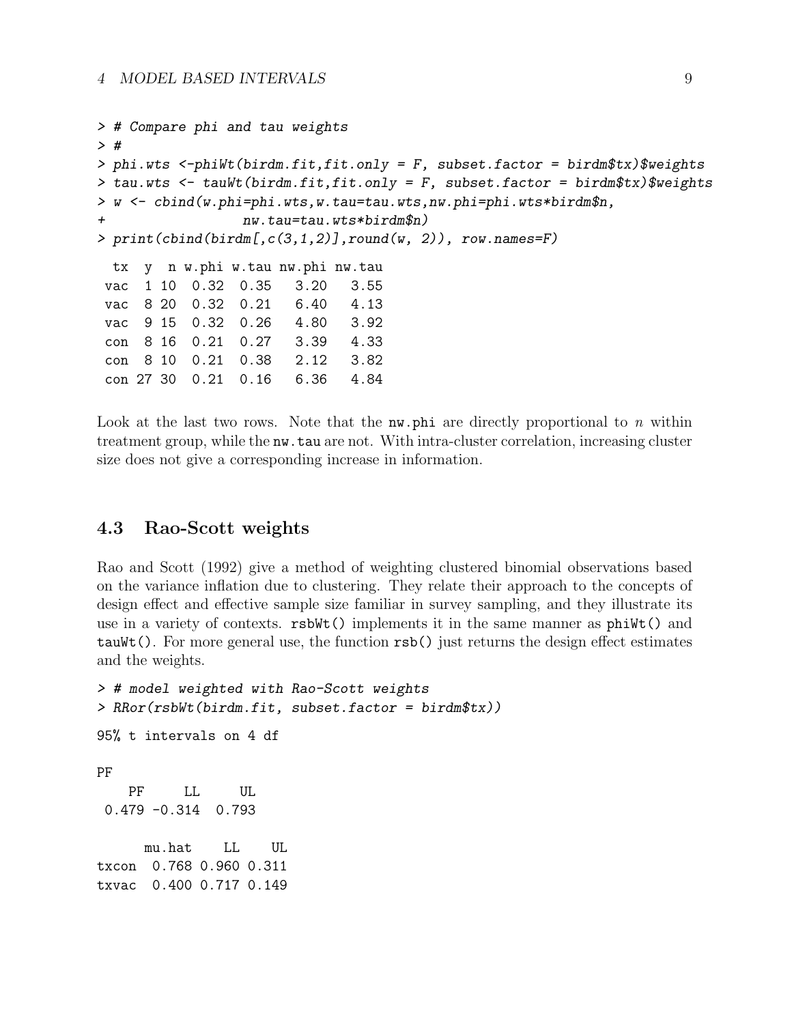```
> # Compare phi and tau weights
> #
> phi.wts <-phiWt(birdm.fit,fit.only = F, subset.factor = birdm$tx)$weights
> tau.wts <- tauWt(birdm.fit,fit.only = F, subset.factor = birdm$tx)$weights
> w <- cbind(w.phi=phi.wts,w.tau=tau.wts,nw.phi=phi.wts*birdm$n,
+ nw.tau=tau.wts*birdm$n)
> print(cbind(birdm[,c(3,1,2)],round(w, 2)), row.name = F)tx y n w.phi w.tau nw.phi nw.tau
vac 1 10 0.32 0.35 3.20 3.55
vac 8 20 0.32 0.21 6.40 4.13
vac 9 15 0.32 0.26 4.80 3.92
con 8 16 0.21 0.27 3.39 4.33
con 8 10 0.21 0.38 2.12 3.82
con 27 30 0.21 0.16 6.36 4.84
```
Look at the last two rows. Note that the  $nw$ , phi are directly proportional to n within treatment group, while the nw.tau are not. With intra-cluster correlation, increasing cluster size does not give a corresponding increase in information.

### 4.3 Rao-Scott weights

Rao and Scott (1992) give a method of weighting clustered binomial observations based on the variance inflation due to clustering. They relate their approach to the concepts of design effect and effective sample size familiar in survey sampling, and they illustrate its use in a variety of contexts. rsbWt() implements it in the same manner as phiWt() and tauWt(). For more general use, the function rsb() just returns the design effect estimates and the weights.

```
> # model weighted with Rao-Scott weights
> RRor(rsbWt(birdm.fit, subset.factor = birdm$tx))
95% t intervals on 4 df
PF
   PF LL UL
0.479 -0.314 0.793
     mu.hat LL UL
txcon 0.768 0.960 0.311
txvac 0.400 0.717 0.149
```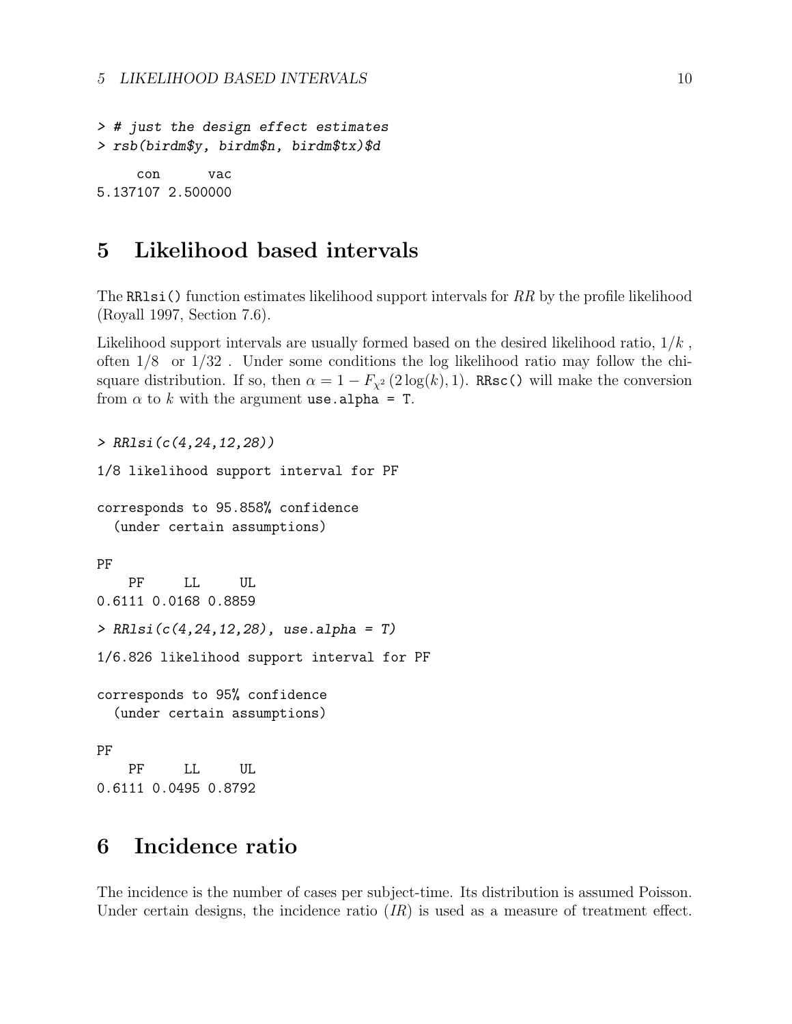> # just the design effect estimates > rsb(birdm\$y, birdm\$n, birdm\$tx)\$d con vac 5.137107 2.500000

### 5 Likelihood based intervals

The RRlsi() function estimates likelihood support intervals for  $RR$  by the profile likelihood (Royall 1997, Section 7.6).

Likelihood support intervals are usually formed based on the desired likelihood ratio,  $1/k$ , often  $1/8$  or  $1/32$ . Under some conditions the log likelihood ratio may follow the chisquare distribution. If so, then  $\alpha = 1 - F_{\chi^2}(2 \log(k), 1)$ . RRsc() will make the conversion from  $\alpha$  to k with the argument use. alpha = T.

> RRlsi(c(4,24,12,28)) 1/8 likelihood support interval for PF corresponds to 95.858% confidence (under certain assumptions) PF PF LL UL 0.6111 0.0168 0.8859  $> RRlsi(c(4, 24, 12, 28), use. alpha = T)$ 1/6.826 likelihood support interval for PF corresponds to 95% confidence (under certain assumptions) PF PF LL UL 0.6111 0.0495 0.8792

### 6 Incidence ratio

The incidence is the number of cases per subject-time. Its distribution is assumed Poisson. Under certain designs, the incidence ratio  $(IR)$  is used as a measure of treatment effect.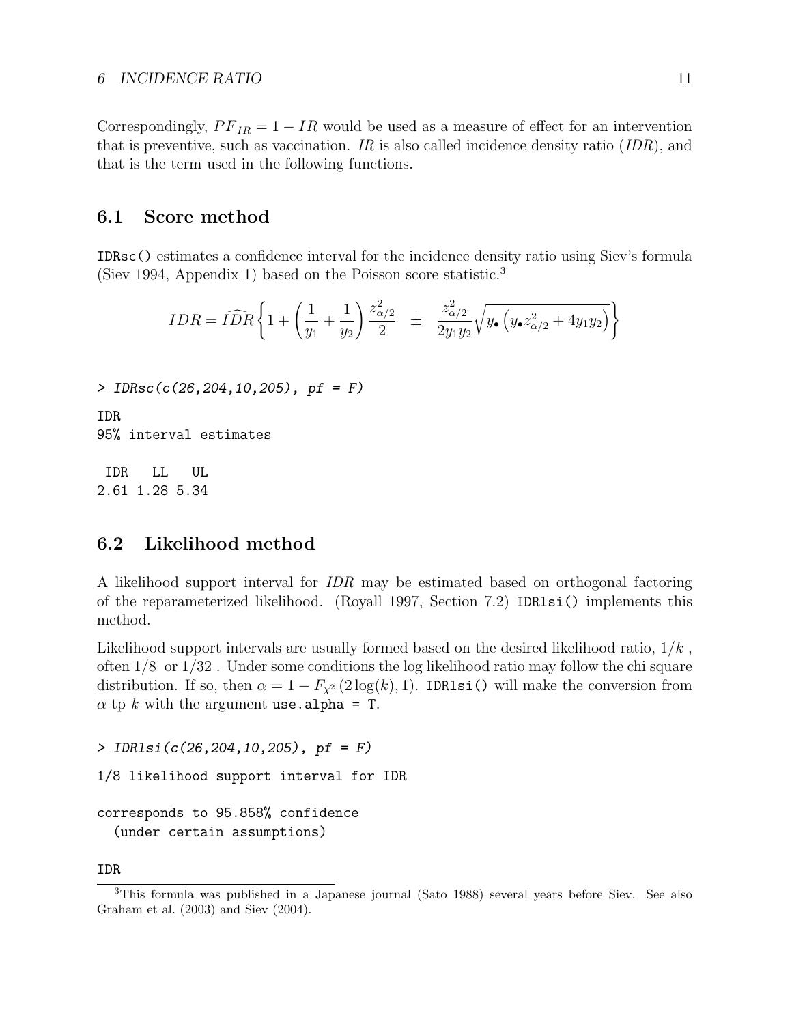Correspondingly,  $PF_{IR} = 1 - IR$  would be used as a measure of effect for an intervention that is preventive, such as vaccination. IR is also called incidence density ratio  $(ID, and ]$ that is the term used in the following functions.

### 6.1 Score method

IDRsc() estimates a confidence interval for the incidence density ratio using Siev's formula (Siev 1994, Appendix 1) based on the Poisson score statistic.<sup>3</sup>

$$
IDR = \widehat{IDR} \left\{ 1 + \left( \frac{1}{y_1} + \frac{1}{y_2} \right) \frac{z_{\alpha/2}^2}{2} \pm \frac{z_{\alpha/2}^2}{2y_1y_2} \sqrt{y \cdot (y \cdot z_{\alpha/2}^2 + 4y_1y_2)} \right\}
$$

> IDRsc(c(26,204,10,205), pf = F)

IDR 95% interval estimates

IDR LL UL 2.61 1.28 5.34

### 6.2 Likelihood method

A likelihood support interval for IDR may be estimated based on orthogonal factoring of the reparameterized likelihood. (Royall 1997, Section 7.2) IDRlsi() implements this method.

Likelihood support intervals are usually formed based on the desired likelihood ratio,  $1/k$ , often 1/8 or 1/32 . Under some conditions the log likelihood ratio may follow the chi square distribution. If so, then  $\alpha = 1 - F_{\chi^2}(2 \log(k), 1)$ . IDR1si() will make the conversion from  $\alpha$  tp k with the argument use. alpha = T.

> IDRlsi(c(26,204,10,205), pf = F)

1/8 likelihood support interval for IDR

corresponds to 95.858% confidence (under certain assumptions)

IDR

<sup>3</sup>This formula was published in a Japanese journal (Sato 1988) several years before Siev. See also Graham et al. (2003) and Siev (2004).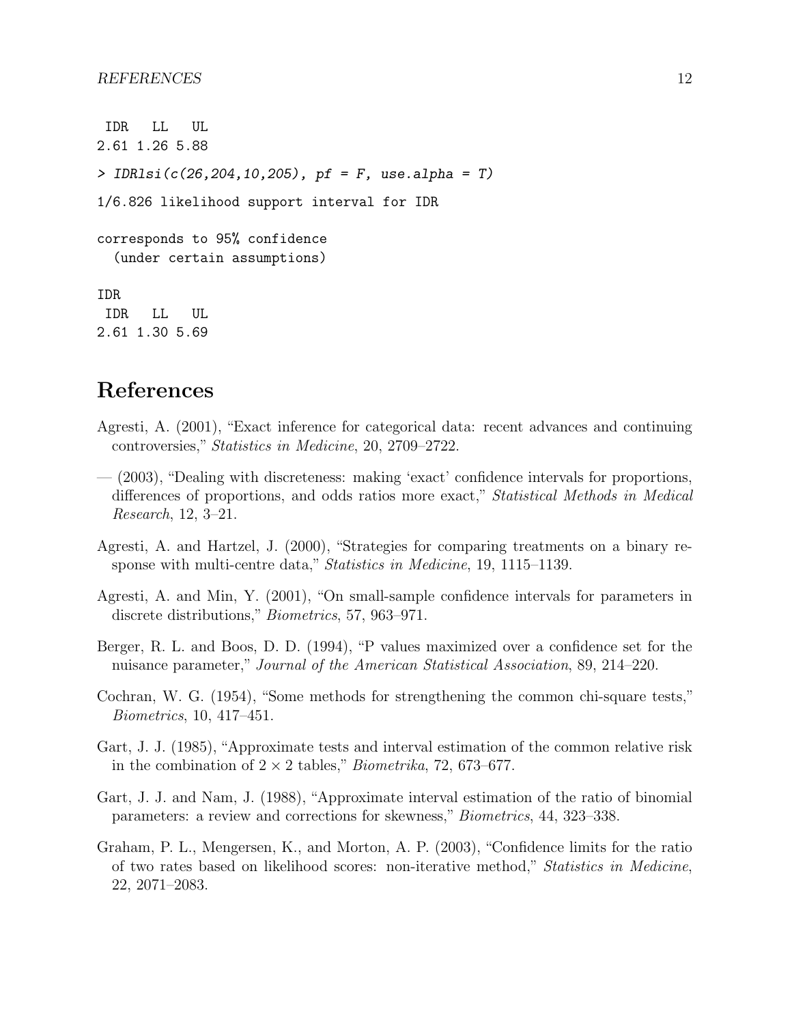```
IDR LL UL
2.61 1.26 5.88
> IDR1si(c(26, 204, 10, 205), pf = F, use.alpha = T)
1/6.826 likelihood support interval for IDR
corresponds to 95% confidence
  (under certain assumptions)
IDR
 IDR LL UL
2.61 1.30 5.69
```
### References

- Agresti, A. (2001), "Exact inference for categorical data: recent advances and continuing controversies," Statistics in Medicine, 20, 2709–2722.
- (2003), "Dealing with discreteness: making 'exact' confidence intervals for proportions, differences of proportions, and odds ratios more exact," Statistical Methods in Medical Research, 12, 3–21.
- Agresti, A. and Hartzel, J. (2000), "Strategies for comparing treatments on a binary response with multi-centre data," Statistics in Medicine, 19, 1115–1139.
- Agresti, A. and Min, Y. (2001), "On small-sample confidence intervals for parameters in discrete distributions," Biometrics, 57, 963–971.
- Berger, R. L. and Boos, D. D. (1994), "P values maximized over a confidence set for the nuisance parameter," Journal of the American Statistical Association, 89, 214–220.
- Cochran, W. G. (1954), "Some methods for strengthening the common chi-square tests," Biometrics, 10, 417–451.
- Gart, J. J. (1985), "Approximate tests and interval estimation of the common relative risk in the combination of  $2 \times 2$  tables," *Biometrika*, 72, 673–677.
- Gart, J. J. and Nam, J. (1988), "Approximate interval estimation of the ratio of binomial parameters: a review and corrections for skewness," Biometrics, 44, 323–338.
- Graham, P. L., Mengersen, K., and Morton, A. P. (2003), "Confidence limits for the ratio of two rates based on likelihood scores: non-iterative method," Statistics in Medicine, 22, 2071–2083.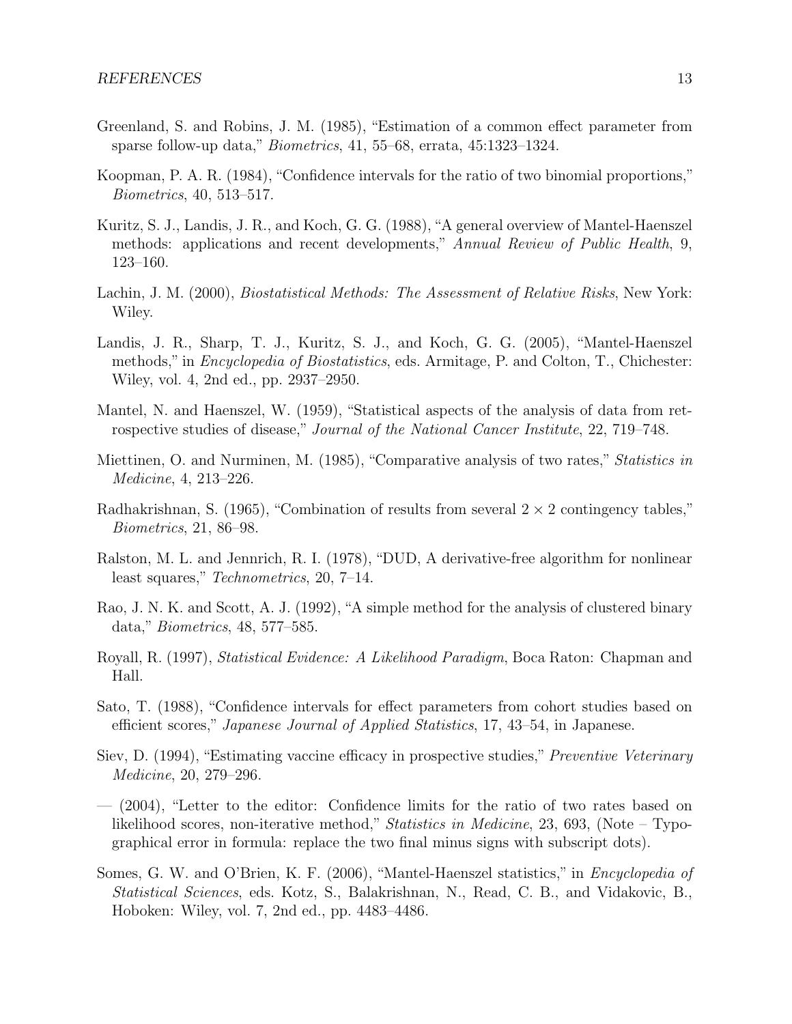- Greenland, S. and Robins, J. M. (1985), "Estimation of a common effect parameter from sparse follow-up data," Biometrics, 41, 55–68, errata, 45:1323–1324.
- Koopman, P. A. R. (1984), "Confidence intervals for the ratio of two binomial proportions," Biometrics, 40, 513–517.
- Kuritz, S. J., Landis, J. R., and Koch, G. G. (1988), "A general overview of Mantel-Haenszel methods: applications and recent developments," Annual Review of Public Health, 9, 123–160.
- Lachin, J. M. (2000), *Biostatistical Methods: The Assessment of Relative Risks*, New York: Wiley.
- Landis, J. R., Sharp, T. J., Kuritz, S. J., and Koch, G. G. (2005), "Mantel-Haenszel methods," in *Encyclopedia of Biostatistics*, eds. Armitage, P. and Colton, T., Chichester: Wiley, vol. 4, 2nd ed., pp. 2937–2950.
- Mantel, N. and Haenszel, W. (1959), "Statistical aspects of the analysis of data from retrospective studies of disease," Journal of the National Cancer Institute, 22, 719–748.
- Miettinen, O. and Nurminen, M. (1985), "Comparative analysis of two rates," Statistics in Medicine, 4, 213–226.
- Radhakrishnan, S. (1965), "Combination of results from several  $2 \times 2$  contingency tables," Biometrics, 21, 86–98.
- Ralston, M. L. and Jennrich, R. I. (1978), "DUD, A derivative-free algorithm for nonlinear least squares," Technometrics, 20, 7–14.
- Rao, J. N. K. and Scott, A. J. (1992), "A simple method for the analysis of clustered binary data," Biometrics, 48, 577–585.
- Royall, R. (1997), Statistical Evidence: A Likelihood Paradigm, Boca Raton: Chapman and Hall.
- Sato, T. (1988), "Confidence intervals for effect parameters from cohort studies based on efficient scores," Japanese Journal of Applied Statistics, 17, 43–54, in Japanese.
- Siev, D. (1994), "Estimating vaccine efficacy in prospective studies," Preventive Veterinary Medicine, 20, 279–296.
- (2004), "Letter to the editor: Confidence limits for the ratio of two rates based on likelihood scores, non-iterative method," Statistics in Medicine, 23, 693, (Note – Typographical error in formula: replace the two final minus signs with subscript dots).
- Somes, G. W. and O'Brien, K. F. (2006), "Mantel-Haenszel statistics," in Encyclopedia of Statistical Sciences, eds. Kotz, S., Balakrishnan, N., Read, C. B., and Vidakovic, B., Hoboken: Wiley, vol. 7, 2nd ed., pp. 4483–4486.